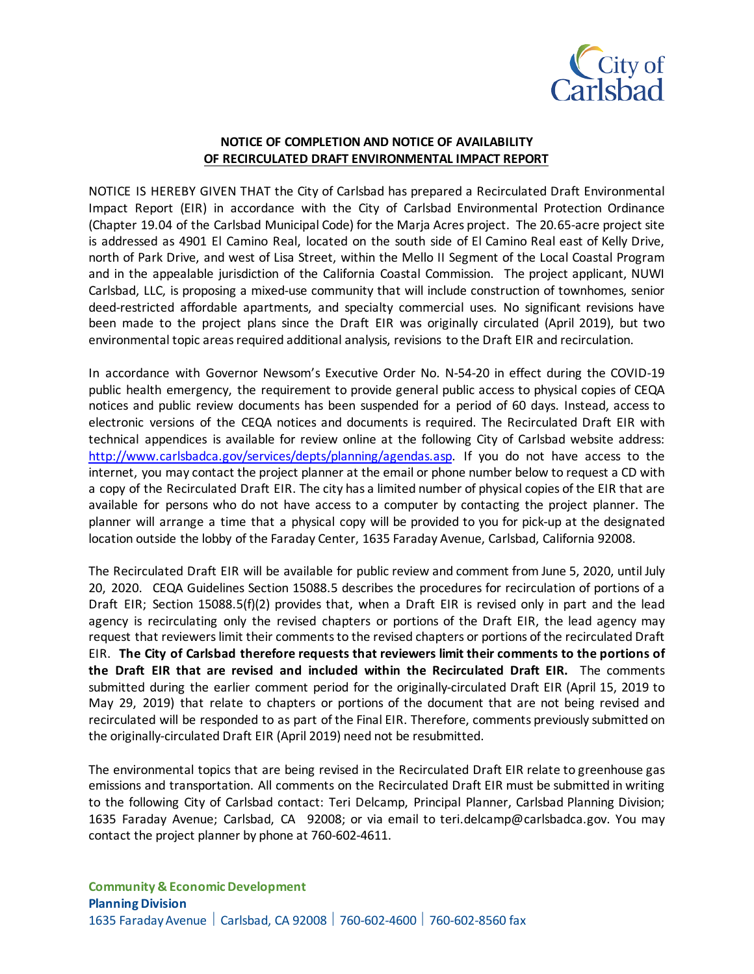

## **NOTICE OF COMPLETION AND NOTICE OF AVAILABILITY OF RECIRCULATED DRAFT ENVIRONMENTAL IMPACT REPORT**

NOTICE IS HEREBY GIVEN THAT the City of Carlsbad has prepared a Recirculated Draft Environmental Impact Report (EIR) in accordance with the City of Carlsbad Environmental Protection Ordinance (Chapter 19.04 of the Carlsbad Municipal Code) for the Marja Acres project. The 20.65-acre project site is addressed as 4901 El Camino Real, located on the south side of El Camino Real east of Kelly Drive, north of Park Drive, and west of Lisa Street, within the Mello II Segment of the Local Coastal Program and in the appealable jurisdiction of the California Coastal Commission. The project applicant, NUWI Carlsbad, LLC, is proposing a mixed-use community that will include construction of townhomes, senior deed-restricted affordable apartments, and specialty commercial uses. No significant revisions have been made to the project plans since the Draft EIR was originally circulated (April 2019), but two environmental topic areas required additional analysis, revisions to the Draft EIR and recirculation.

In accordance with Governor Newsom's Executive Order No. N-54-20 in effect during the COVID-19 public health emergency, the requirement to provide general public access to physical copies of CEQA notices and public review documents has been suspended for a period of 60 days. Instead, access to electronic versions of the CEQA notices and documents is required. The Recirculated Draft EIR with technical appendices is available for review online at the following City of Carlsbad website address: [http://www.carlsbadca.gov/services/depts/planning/agendas.asp.](http://www.carlsbadca.gov/services/depts/planning/agendas.asp) If you do not have access to the internet, you may contact the project planner at the email or phone number below to request a CD with a copy of the Recirculated Draft EIR. The city has a limited number of physical copies of the EIR that are available for persons who do not have access to a computer by contacting the project planner. The planner will arrange a time that a physical copy will be provided to you for pick-up at the designated location outside the lobby of the Faraday Center, 1635 Faraday Avenue, Carlsbad, California 92008.

The Recirculated Draft EIR will be available for public review and comment from June 5, 2020, until July 20, 2020. CEQA Guidelines Section 15088.5 describes the procedures for recirculation of portions of a Draft EIR; Section 15088.5(f)(2) provides that, when a Draft EIR is revised only in part and the lead agency is recirculating only the revised chapters or portions of the Draft EIR, the lead agency may request that reviewers limit their comments to the revised chapters or portions of the recirculated Draft EIR. **The City of Carlsbad therefore requests that reviewers limit their comments to the portions of the Draft EIR that are revised and included within the Recirculated Draft EIR.** The comments submitted during the earlier comment period for the originally-circulated Draft EIR (April 15, 2019 to May 29, 2019) that relate to chapters or portions of the document that are not being revised and recirculated will be responded to as part of the Final EIR. Therefore, comments previously submitted on the originally-circulated Draft EIR (April 2019) need not be resubmitted.

The environmental topics that are being revised in the Recirculated Draft EIR relate to greenhouse gas emissions and transportation. All comments on the Recirculated Draft EIR must be submitted in writing to the following City of Carlsbad contact: Teri Delcamp, Principal Planner, Carlsbad Planning Division; 1635 Faraday Avenue; Carlsbad, CA 92008; or via email to teri.delcamp@carlsbadca.gov. You may contact the project planner by phone at 760-602-4611.